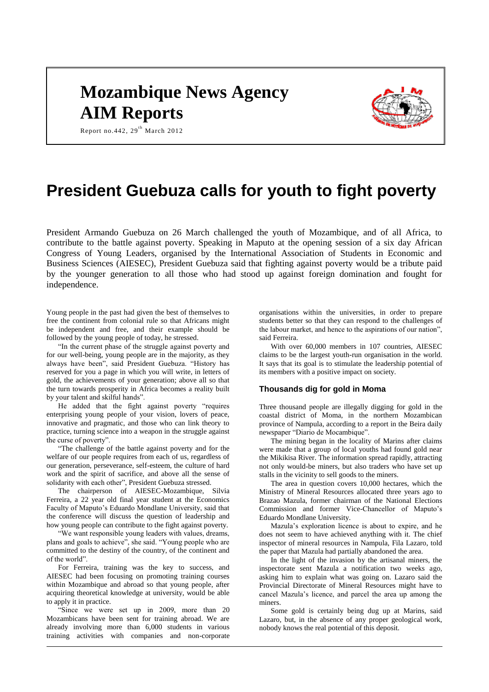# **Mozambique News Agency AIM Reports**



Report no.442,  $29<sup>th</sup>$  March 2012

## **President Guebuza calls for youth to fight poverty**

President Armando Guebuza on 26 March challenged the youth of Mozambique, and of all Africa, to contribute to the battle against poverty. Speaking in Maputo at the opening session of a six day African Congress of Young Leaders, organised by the International Association of Students in Economic and Business Sciences (AIESEC), President Guebuza said that fighting against poverty would be a tribute paid by the younger generation to all those who had stood up against foreign domination and fought for independence.

Young people in the past had given the best of themselves to free the continent from colonial rule so that Africans might be independent and free, and their example should be followed by the young people of today, he stressed.

"In the current phase of the struggle against poverty and for our well-being, young people are in the majority, as they always have been", said President Guebuza. "History has reserved for you a page in which you will write, in letters of gold, the achievements of your generation; above all so that the turn towards prosperity in Africa becomes a reality built by your talent and skilful hands".

He added that the fight against poverty "requires enterprising young people of your vision, lovers of peace, innovative and pragmatic, and those who can link theory to practice, turning science into a weapon in the struggle against the curse of poverty".

"The challenge of the battle against poverty and for the welfare of our people requires from each of us, regardless of our generation, perseverance, self-esteem, the culture of hard work and the spirit of sacrifice, and above all the sense of solidarity with each other", President Guebuza stressed.

The chairperson of AIESEC-Mozambique, Silvia Ferreira, a 22 year old final year student at the Economics Faculty of Maputo's Eduardo Mondlane University, said that the conference will discuss the question of leadership and how young people can contribute to the fight against poverty.

"We want responsible young leaders with values, dreams, plans and goals to achieve", she said. "Young people who are committed to the destiny of the country, of the continent and of the world".

For Ferreira, training was the key to success, and AIESEC had been focusing on promoting training courses within Mozambique and abroad so that young people, after acquiring theoretical knowledge at university, would be able to apply it in practice.

"Since we were set up in 2009, more than 20 Mozambicans have been sent for training abroad. We are already involving more than 6,000 students in various training activities with companies and non-corporate organisations within the universities, in order to prepare students better so that they can respond to the challenges of the labour market, and hence to the aspirations of our nation", said Ferreira.

With over 60,000 members in 107 countries, AIESEC claims to be the largest youth-run organisation in the world. It says that its goal is to stimulate the leadership potential of its members with a positive impact on society.

## **Thousands dig for gold in Moma**

Three thousand people are illegally digging for gold in the coastal district of Moma, in the northern Mozambican province of Nampula, according to a report in the Beira daily newspaper "Diario de Mocambique".

The mining began in the locality of Marins after claims were made that a group of local youths had found gold near the Mikikisa River. The information spread rapidly, attracting not only would-be miners, but also traders who have set up stalls in the vicinity to sell goods to the miners.

The area in question covers 10,000 hectares, which the Ministry of Mineral Resources allocated three years ago to Brazao Mazula, former chairman of the National Elections Commission and former Vice-Chancellor of Maputo's Eduardo Mondlane University.

Mazula's exploration licence is about to expire, and he does not seem to have achieved anything with it. The chief inspector of mineral resources in Nampula, Fila Lazaro, told the paper that Mazula had partially abandoned the area.

In the light of the invasion by the artisanal miners, the inspectorate sent Mazula a notification two weeks ago, asking him to explain what was going on. Lazaro said the Provincial Directorate of Mineral Resources might have to cancel Mazula's licence, and parcel the area up among the miners.

Some gold is certainly being dug up at Marins, said Lazaro, but, in the absence of any proper geological work, nobody knows the real potential of this deposit.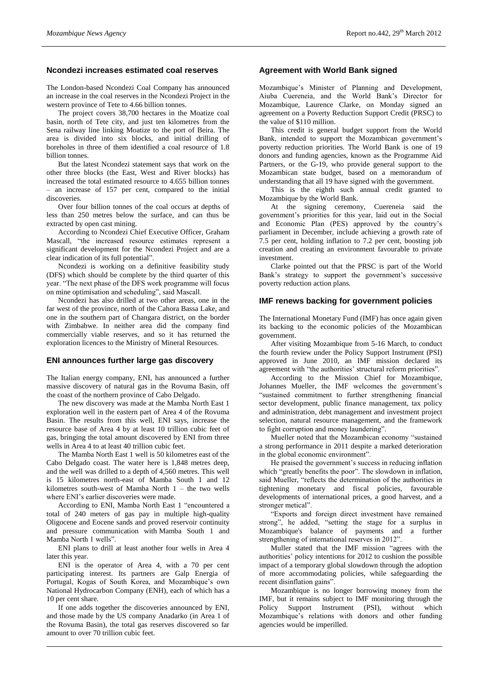## **Ncondezi increases estimated coal reserves**

The London-based Ncondezi Coal Company has announced an increase in the coal reserves in the Ncondezi Project in the western province of Tete to 4.66 billion tonnes.

The project covers 38,700 hectares in the Moatize coal basin, north of Tete city, and just ten kilometres from the Sena railway line linking Moatize to the port of Beira. The area is divided into six blocks, and initial drilling of boreholes in three of them identified a coal resource of 1.8 billion tonnes.

But the latest Ncondezi statement says that work on the other three blocks (the East, West and River blocks) has increased the total estimated resource to 4.655 billion tonnes – an increase of 157 per cent, compared to the initial discoveries.

Over four billion tonnes of the coal occurs at depths of less than 250 metres below the surface, and can thus be extracted by open cast mining.

According to Ncondezi Chief Executive Officer, Graham Mascall, "the increased resource estimates represent a significant development for the Ncondezi Project and are a clear indication of its full potential".

Ncondezi is working on a definitive feasibility study (DFS) which should be complete by the third quarter of this year. "The next phase of the DFS work programme will focus on mine optimisation and scheduling", said Mascall.

Ncondezi has also drilled at two other areas, one in the far west of the province, north of the Cahora Bassa Lake, and one in the southern part of Changara district, on the border with Zimbabwe. In neither area did the company find commercially viable reserves, and so it has returned the exploration licences to the Ministry of Mineral Resources.

#### **ENI announces further large gas discovery**

The Italian energy company, ENI, has announced a further massive discovery of natural gas in the Rovuma Basin, off the coast of the northern province of Cabo Delgado.

The new discovery was made at the Mamba North East 1 exploration well in the eastern part of Area 4 of the Rovuma Basin. The results from this well, ENI says, increase the resource base of Area 4 by at least 10 trillion cubic feet of gas, bringing the total amount discovered by ENI from three wells in Area 4 to at least 40 trillion cubic feet.

The Mamba North East 1 well is 50 kilometres east of the Cabo Delgado coast. The water here is 1,848 metres deep, and the well was drilled to a depth of 4,560 metres. This well is 15 kilometres north-east of Mamba South 1 and 12 kilometres south-west of Mamba North 1 – the two wells where ENI's earlier discoveries were made.

According to ENI, Mamba North East 1 "encountered a total of 240 meters of gas pay in multiple high-quality Oligocene and Eocene sands and proved reservoir continuity and pressure communication with Mamba South 1 and Mamba North 1 wells".

ENI plans to drill at least another four wells in Area 4 later this year.

ENI is the operator of Area 4, with a 70 per cent participating interest. Its partners are Galp Energia of Portugal, Kogas of South Korea, and Mozambique's own National Hydrocarbon Company (ENH), each of which has a 10 per cent share.

If one adds together the discoveries announced by ENI, and those made by the US company Anadarko (in Area 1 of the Rovuma Basin), the total gas reserves discovered so far amount to over 70 trillion cubic feet.

## **Agreement with World Bank signed**

Mozambique's Minister of Planning and Development, Aiuba Cuereneia, and the World Bank's Director for Mozambique, Laurence Clarke, on Monday signed an agreement on a Poverty Reduction Support Credit (PRSC) to the value of \$110 million.

This credit is general budget support from the World Bank, intended to support the Mozambican government's poverty reduction priorities. The World Bank is one of 19 donors and funding agencies, known as the Programme Aid Partners, or the G-19, who provide general support to the Mozambican state budget, based on a memorandum of understanding that all 19 have signed with the government.

This is the eighth such annual credit granted to Mozambique by the World Bank.

At the signing ceremony, Cuereneia said the government's priorities for this year, laid out in the Social and Economic Plan (PES) approved by the country's parliament in December, include achieving a growth rate of 7.5 per cent, holding inflation to 7.2 per cent, boosting job creation and creating an environment favourable to private investment.

Clarke pointed out that the PRSC is part of the World Bank's strategy to support the government's successive poverty reduction action plans.

#### **IMF renews backing for government policies**

The International Monetary Fund (IMF) has once again given its backing to the economic policies of the Mozambican government.

After visiting Mozambique from 5-16 March, to conduct the fourth review under the Policy Support Instrument (PSI) approved in June 2010, an IMF mission declared its agreement with "the authorities' structural reform priorities".

According to the Mission Chief for Mozambique, Johannes Mueller, the IMF welcomes the government's "sustained commitment to further strengthening financial sector development, public finance management, tax policy and administration, debt management and investment project selection, natural resource management, and the framework to fight corruption and money laundering".

Mueller noted that the Mozambican economy "sustained a strong performance in 2011 despite a marked deterioration in the global economic environment".

He praised the government's success in reducing inflation which "greatly benefits the poor". The slowdown in inflation, said Mueller, "reflects the determination of the authorities in tightening monetary and fiscal policies, favourable developments of international prices, a good harvest, and a stronger metical".

"Exports and foreign direct investment have remained strong", he added, "setting the stage for a surplus in Mozambique's balance of payments and a further strengthening of international reserves in 2012".

Muller stated that the IMF mission "agrees with the authorities' policy intentions for 2012 to cushion the possible impact of a temporary global slowdown through the adoption of more accommodating policies, while safeguarding the recent disinflation gains".

Mozambique is no longer borrowing money from the IMF, but it remains subject to IMF monitoring through the Policy Support Instrument (PSI), without which Mozambique's relations with donors and other funding agencies would be imperilled.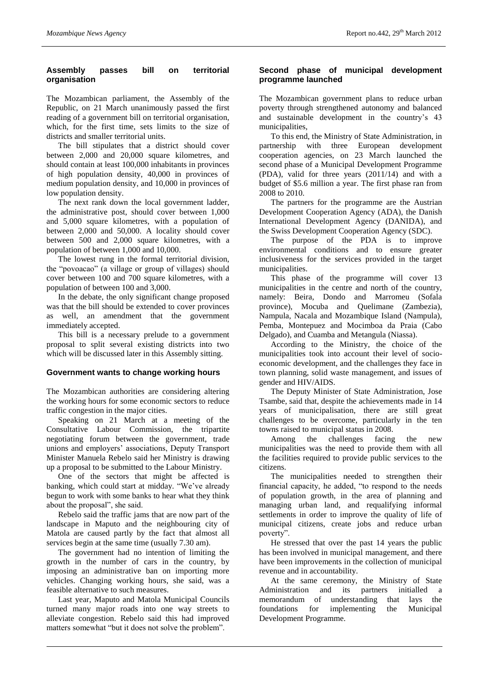## **Assembly passes bill on territorial organisation**

The Mozambican parliament, the Assembly of the Republic, on 21 March unanimously passed the first reading of a government bill on territorial organisation, which, for the first time, sets limits to the size of districts and smaller territorial units.

The bill stipulates that a district should cover between 2,000 and 20,000 square kilometres, and should contain at least 100,000 inhabitants in provinces of high population density, 40,000 in provinces of medium population density, and 10,000 in provinces of low population density.

The next rank down the local government ladder, the administrative post, should cover between 1,000 and 5,000 square kilometres, with a population of between 2,000 and 50,000. A locality should cover between 500 and 2,000 square kilometres, with a population of between 1,000 and 10,000.

The lowest rung in the formal territorial division, the "povoacao" (a village or group of villages) should cover between 100 and 700 square kilometres, with a population of between 100 and 3,000.

In the debate, the only significant change proposed was that the bill should be extended to cover provinces as well, an amendment that the government immediately accepted.

This bill is a necessary prelude to a government proposal to split several existing districts into two which will be discussed later in this Assembly sitting.

## **Government wants to change working hours**

The Mozambican authorities are considering altering the working hours for some economic sectors to reduce traffic congestion in the major cities.

Speaking on 21 March at a meeting of the Consultative Labour Commission, the tripartite negotiating forum between the government, trade unions and employers' associations, Deputy Transport Minister Manuela Rebelo said her Ministry is drawing up a proposal to be submitted to the Labour Ministry.

One of the sectors that might be affected is banking, which could start at midday. "We've already begun to work with some banks to hear what they think about the proposal", she said.

Rebelo said the traffic jams that are now part of the landscape in Maputo and the neighbouring city of Matola are caused partly by the fact that almost all services begin at the same time (usually 7.30 am).

The government had no intention of limiting the growth in the number of cars in the country, by imposing an administrative ban on importing more vehicles. Changing working hours, she said, was a feasible alternative to such measures.

Last year, Maputo and Matola Municipal Councils turned many major roads into one way streets to alleviate congestion. Rebelo said this had improved matters somewhat "but it does not solve the problem".

## **Second phase of municipal development programme launched**

The Mozambican government plans to reduce urban poverty through strengthened autonomy and balanced and sustainable development in the country's 43 municipalities,

To this end, the Ministry of State Administration, in partnership with three European development cooperation agencies, on 23 March launched the second phase of a Municipal Development Programme (PDA), valid for three years (2011/14) and with a budget of \$5.6 million a year. The first phase ran from 2008 to 2010.

The partners for the programme are the Austrian Development Cooperation Agency (ADA), the Danish International Development Agency (DANIDA), and the Swiss Development Cooperation Agency (SDC).

The purpose of the PDA is to improve environmental conditions and to ensure greater inclusiveness for the services provided in the target municipalities.

This phase of the programme will cover 13 municipalities in the centre and north of the country, namely: Beira, Dondo and Marromeu (Sofala province), Mocuba and Quelimane (Zambezia), Nampula, Nacala and Mozambique Island (Nampula), Pemba, Montepuez and Mocimboa da Praia (Cabo Delgado), and Cuamba and Metangula (Niassa).

According to the Ministry, the choice of the municipalities took into account their level of socioeconomic development, and the challenges they face in town planning, solid waste management, and issues of gender and HIV/AIDS.

The Deputy Minister of State Administration, Jose Tsambe, said that, despite the achievements made in 14 years of municipalisation, there are still great challenges to be overcome, particularly in the ten towns raised to municipal status in 2008.

Among the challenges facing the new municipalities was the need to provide them with all the facilities required to provide public services to the citizens.

The municipalities needed to strengthen their financial capacity, he added, "to respond to the needs of population growth, in the area of planning and managing urban land, and requalifying informal settlements in order to improve the quality of life of municipal citizens, create jobs and reduce urban poverty".

He stressed that over the past 14 years the public has been involved in municipal management, and there have been improvements in the collection of municipal revenue and in accountability.

At the same ceremony, the Ministry of State Administration and its partners initialled a memorandum of understanding that lays the foundations for implementing the Municipal Development Programme.